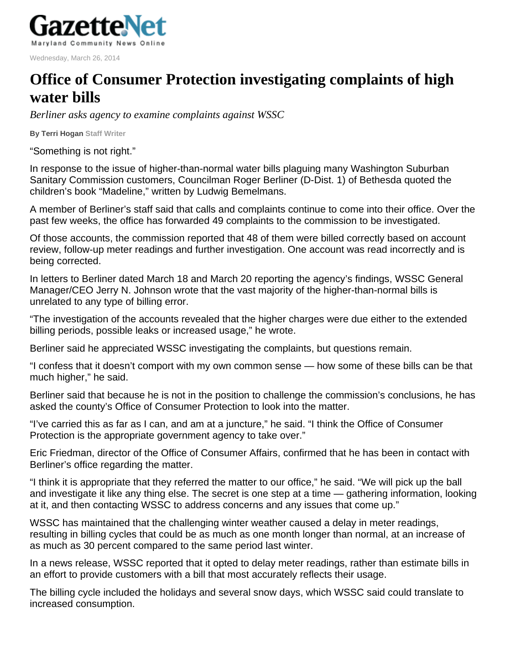

Wednesday, March 26, 2014

## **Office of Consumer Protection investigating complaints of high water bills**

*Berliner asks agency to examine complaints against WSSC* 

**By Terri Hogan Staff Writer** 

"Something is not right."

In response to the issue of higher-than-normal water bills plaguing many Washington Suburban Sanitary Commission customers, Councilman Roger Berliner (D-Dist. 1) of Bethesda quoted the children's book "Madeline," written by Ludwig Bemelmans.

A member of Berliner's staff said that calls and complaints continue to come into their office. Over the past few weeks, the office has forwarded 49 complaints to the commission to be investigated.

Of those accounts, the commission reported that 48 of them were billed correctly based on account review, follow-up meter readings and further investigation. One account was read incorrectly and is being corrected.

In letters to Berliner dated March 18 and March 20 reporting the agency's findings, WSSC General Manager/CEO Jerry N. Johnson wrote that the vast majority of the higher-than-normal bills is unrelated to any type of billing error.

"The investigation of the accounts revealed that the higher charges were due either to the extended billing periods, possible leaks or increased usage," he wrote.

Berliner said he appreciated WSSC investigating the complaints, but questions remain.

"I confess that it doesn't comport with my own common sense — how some of these bills can be that much higher," he said.

Berliner said that because he is not in the position to challenge the commission's conclusions, he has asked the county's Office of Consumer Protection to look into the matter.

"I've carried this as far as I can, and am at a juncture," he said. "I think the Office of Consumer Protection is the appropriate government agency to take over."

Eric Friedman, director of the Office of Consumer Affairs, confirmed that he has been in contact with Berliner's office regarding the matter.

"I think it is appropriate that they referred the matter to our office," he said. "We will pick up the ball and investigate it like any thing else. The secret is one step at a time — gathering information, looking at it, and then contacting WSSC to address concerns and any issues that come up."

WSSC has maintained that the challenging winter weather caused a delay in meter readings, resulting in billing cycles that could be as much as one month longer than normal, at an increase of as much as 30 percent compared to the same period last winter.

In a news release, WSSC reported that it opted to delay meter readings, rather than estimate bills in an effort to provide customers with a bill that most accurately reflects their usage.

The billing cycle included the holidays and several snow days, which WSSC said could translate to increased consumption.